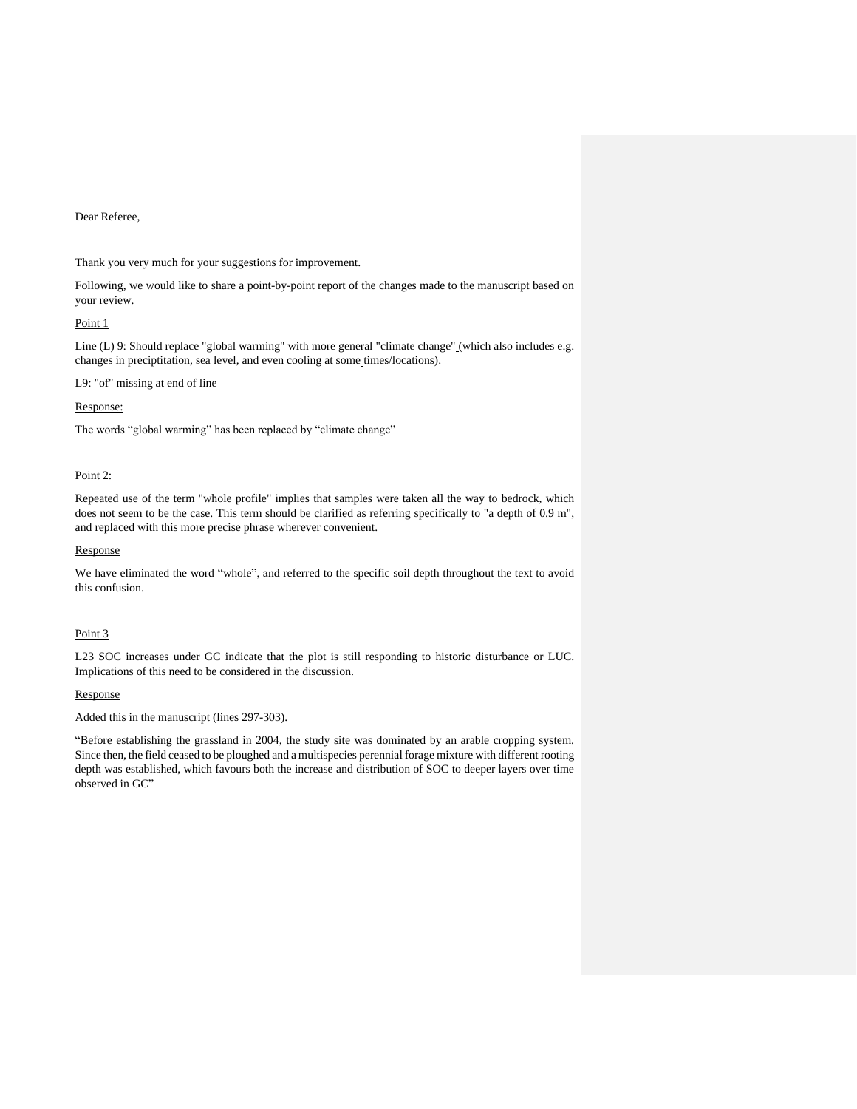# Dear Referee,

Thank you very much for your suggestions for improvement.

Following, we would like to share a point-by-point report of the changes made to the manuscript based on your review.

## Point 1

Line (L) 9: Should replace "global warming" with more general "climate change" (which also includes e.g. changes in preciptitation, sea level, and even cooling at some\_times/locations).

L9: "of" missing at end of line

## Response:

The words "global warming" has been replaced by "climate change"

## Point 2:

Repeated use of the term "whole profile" implies that samples were taken all the way to bedrock, which does not seem to be the case. This term should be clarified as referring specifically to "a depth of 0.9 m", and replaced with this more precise phrase wherever convenient.

#### Response

We have eliminated the word "whole", and referred to the specific soil depth throughout the text to avoid this confusion.

# Point 3

L23 SOC increases under GC indicate that the plot is still responding to historic disturbance or LUC. Implications of this need to be considered in the discussion.

## Response

Added this in the manuscript (lines 297-303).

"Before establishing the grassland in 2004, the study site was dominated by an arable cropping system. Since then, the field ceased to be ploughed and a multispecies perennial forage mixture with different rooting depth was established, which favours both the increase and distribution of SOC to deeper layers over time observed in GC"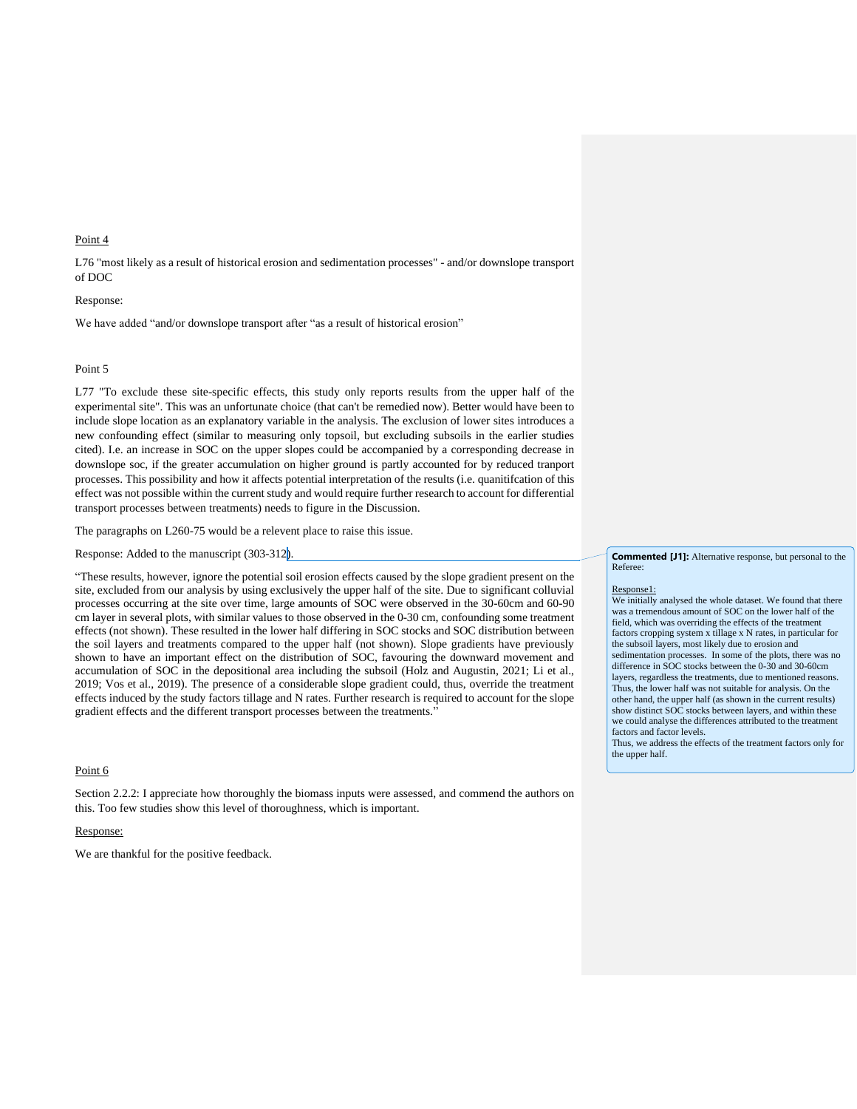## Point 4

L76 "most likely as a result of historical erosion and sedimentation processes" - and/or downslope transport of DOC

# Response:

We have added "and/or downslope transport after "as a result of historical erosion"

#### Point 5

L77 "To exclude these site-specific effects, this study only reports results from the upper half of the experimental site". This was an unfortunate choice (that can't be remedied now). Better would have been to include slope location as an explanatory variable in the analysis. The exclusion of lower sites introduces a new confounding effect (similar to measuring only topsoil, but excluding subsoils in the earlier studies cited). I.e. an increase in SOC on the upper slopes could be accompanied by a corresponding decrease in downslope soc, if the greater accumulation on higher ground is partly accounted for by reduced tranport processes. This possibility and how it affects potential interpretation of the results (i.e. quanitifcation of this effect was not possible within the current study and would require further research to account for differential transport processes between treatments) needs to figure in the Discussion.

The paragraphs on L260-75 would be a relevent place to raise this issue.

Response: Added to the manuscript (303-312).

"These results, however, ignore the potential soil erosion effects caused by the slope gradient present on the site, excluded from our analysis by using exclusively the upper half of the site. Due to significant colluvial processes occurring at the site over time, large amounts of SOC were observed in the 30-60cm and 60-90 cm layer in several plots, with similar values to those observed in the 0-30 cm, confounding some treatment effects (not shown). These resulted in the lower half differing in SOC stocks and SOC distribution between the soil layers and treatments compared to the upper half (not shown). Slope gradients have previously shown to have an important effect on the distribution of SOC, favouring the downward movement and accumulation of SOC in the depositional area including the subsoil (Holz and Augustin, 2021; Li et al., 2019; Vos et al., 2019). The presence of a considerable slope gradient could, thus, override the treatment effects induced by the study factors tillage and N rates. Further research is required to account for the slope gradient effects and the different transport processes between the treatments."

## Point 6

Section 2.2.2: I appreciate how thoroughly the biomass inputs were assessed, and commend the authors on this. Too few studies show this level of thoroughness, which is important.

## Response:

We are thankful for the positive feedback.

#### **Commented [J1]:** Alternative response, but personal to the Referee:

## Response1:

We initially analysed the whole dataset. We found that there was a tremendous amount of SOC on the lower half of the field, which was overriding the effects of the treatment factors cropping system x tillage x N rates, in particular for the subsoil layers, most likely due to erosion and sedimentation processes. In some of the plots, there was no difference in SOC stocks between the 0-30 and 30-60cm layers, regardless the treatments, due to mentioned reasons. Thus, the lower half was not suitable for analysis. On the other hand, the upper half (as shown in the current results) show distinct SOC stocks between layers, and within these we could analyse the differences attributed to the treatment factors and factor levels.

Thus, we address the effects of the treatment factors only for the upper half.